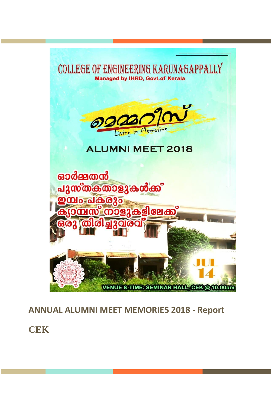

## **ANNUAL ALUMNI MEET MEMORIES 2018 - Report**

**CEK**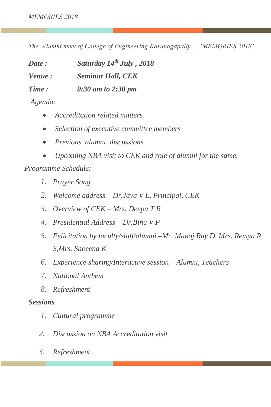*The Alumni meet of College of Engineering Karunagapally… "MEMORIES 2018"*

*Date : Saturday 14th July , 2018 Venue : Seminar Hall, CEK Time : 9:30 am to 2:30 pm*

- *Agenda:*
	- *Accreditation related matters*
	- *Selection of executive committee members*
	- *Previous alumni discussions*
	- *Upcoming NBA visit to CEK and role of alumni for the same.*

*Programme Schedule:* 

- *1. Prayer Song*
- *2. Welcome address – Dr.Jaya V L, Principal, CEK*
- *3. Overview of CEK – Mrs. Deepa T R*
- *4. Presidential Address – Dr.Binu V P*
- *5. Felicitation by faculty/staff/alumni –Mr. Manoj Ray D, Mrs. Remya R S,Mrs. Sabeena K*
- *6. Experience sharing/Interactive session – Alumni, Teachers*
- *7. National Anthem*
- *8. Refreshment*

## *Sessions*

- *1. Cultural programme*
- *2. Discussion on NBA Accreditation visit*
- *3. Refreshment*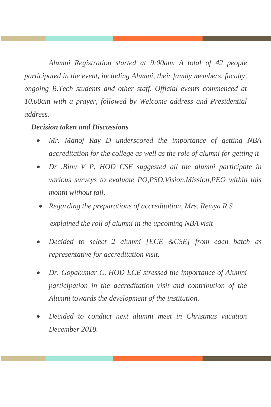*Alumni Registration started at 9:00am. A total of 42 people participated in the event, including Alumni, their family members, faculty, ongoing B.Tech students and other staff. Official events commenced at 10.00am with a prayer, followed by Welcome address and Presidential address.*

## *Decision taken and Discussions*

- *Mr. Manoj Ray D underscored the importance of getting NBA accreditation for the college as well as the role of alumni for getting it*
- *Dr .Binu V P, HOD CSE suggested all the alumni participate in various surveys to evaluate PO,PSO,Vision,Mission,PEO within this month without fail.*
- *Regarding the preparations of accreditation, Mrs. Remya R S explained the roll of alumni in the upcoming NBA visit*
- *Decided to select 2 alumni [ECE &CSE] from each batch as representative for accreditation visit.*
- *Dr. Gopakumar C, HOD ECE stressed the importance of Alumni participation in the accreditation visit and contribution of the Alumni towards the development of the institution.*
- *Decided to conduct next alumni meet in Christmas vacation December 2018.*